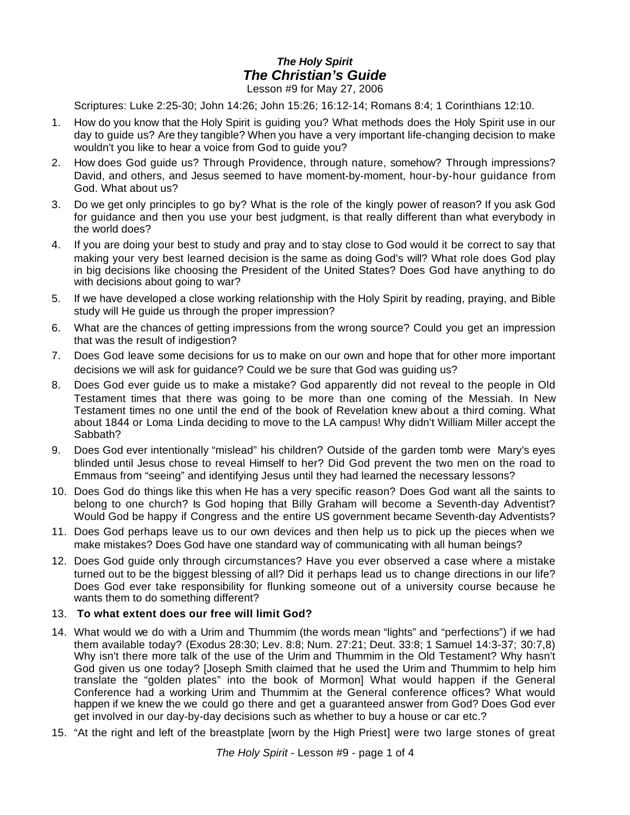## *The Holy Spirit The Christian's Guide* Lesson #9 for May 27, 2006

Scriptures: Luke 2:25-30; John 14:26; John 15:26; 16:12-14; Romans 8:4; 1 Corinthians 12:10.

- 1. How do you know that the Holy Spirit is guiding you? What methods does the Holy Spirit use in our day to guide us? Are they tangible? When you have a very important life-changing decision to make wouldn't you like to hear a voice from God to guide you?
- 2. How does God guide us? Through Providence, through nature, somehow? Through impressions? David, and others, and Jesus seemed to have moment-by-moment, hour-by-hour guidance from God. What about us?
- 3. Do we get only principles to go by? What is the role of the kingly power of reason? If you ask God for guidance and then you use your best judgment, is that really different than what everybody in the world does?
- 4. If you are doing your best to study and pray and to stay close to God would it be correct to say that making your very best learned decision is the same as doing God's will? What role does God play in big decisions like choosing the President of the United States? Does God have anything to do with decisions about going to war?
- 5. If we have developed a close working relationship with the Holy Spirit by reading, praying, and Bible study will He guide us through the proper impression?
- 6. What are the chances of getting impressions from the wrong source? Could you get an impression that was the result of indigestion?
- 7. Does God leave some decisions for us to make on our own and hope that for other more important decisions we will ask for guidance? Could we be sure that God was guiding us?
- 8. Does God ever guide us to make a mistake? God apparently did not reveal to the people in Old Testament times that there was going to be more than one coming of the Messiah. In New Testament times no one until the end of the book of Revelation knew about a third coming. What about 1844 or Loma Linda deciding to move to the LA campus! Why didn't William Miller accept the Sabbath?
- 9. Does God ever intentionally "mislead" his children? Outside of the garden tomb were Mary's eyes blinded until Jesus chose to reveal Himself to her? Did God prevent the two men on the road to Emmaus from "seeing" and identifying Jesus until they had learned the necessary lessons?
- 10. Does God do things like this when He has a very specific reason? Does God want all the saints to belong to one church? Is God hoping that Billy Graham will become a Seventh-day Adventist? Would God be happy if Congress and the entire US government became Seventh-day Adventists?
- 11. Does God perhaps leave us to our own devices and then help us to pick up the pieces when we make mistakes? Does God have one standard way of communicating with all human beings?
- 12. Does God guide only through circumstances? Have you ever observed a case where a mistake turned out to be the biggest blessing of all? Did it perhaps lead us to change directions in our life? Does God ever take responsibility for flunking someone out of a university course because he wants them to do something different?

## 13. **To what extent does our free will limit God?**

- 14. What would we do with a Urim and Thummim (the words mean "lights" and "perfections") if we had them available today? (Exodus 28:30; Lev. 8:8; Num. 27:21; Deut. 33:8; 1 Samuel 14:3-37; 30:7,8) Why isn't there more talk of the use of the Urim and Thummim in the Old Testament? Why hasn't God given us one today? [Joseph Smith claimed that he used the Urim and Thummim to help him translate the "golden plates" into the book of Mormon] What would happen if the General Conference had a working Urim and Thummim at the General conference offices? What would happen if we knew the we could go there and get a guaranteed answer from God? Does God ever get involved in our day-by-day decisions such as whether to buy a house or car etc.?
- 15. "At the right and left of the breastplate [worn by the High Priest] were two large stones of great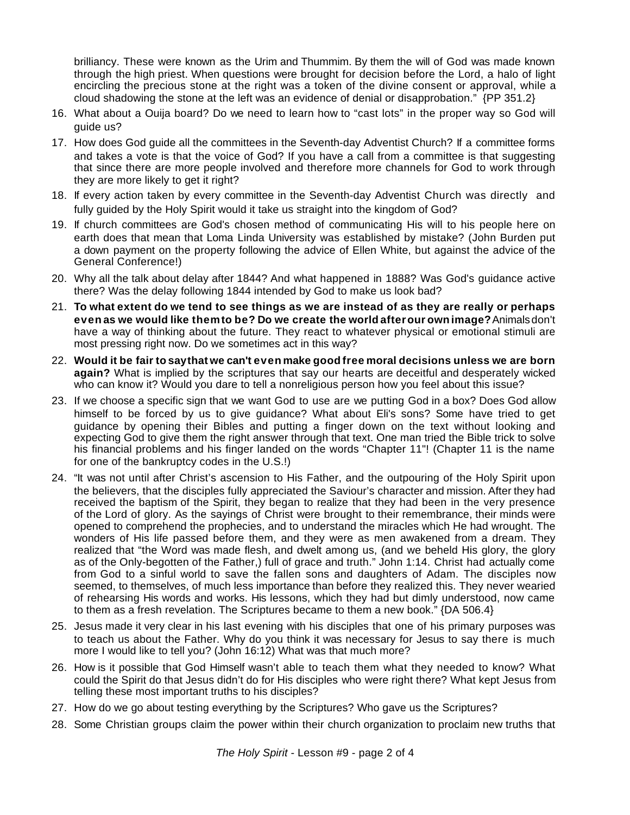brilliancy. These were known as the Urim and Thummim. By them the will of God was made known through the high priest. When questions were brought for decision before the Lord, a halo of light encircling the precious stone at the right was a token of the divine consent or approval, while a cloud shadowing the stone at the left was an evidence of denial or disapprobation." {PP 351.2}

- 16. What about a Ouija board? Do we need to learn how to "cast lots" in the proper way so God will guide us?
- 17. How does God guide all the committees in the Seventh-day Adventist Church? If a committee forms and takes a vote is that the voice of God? If you have a call from a committee is that suggesting that since there are more people involved and therefore more channels for God to work through they are more likely to get it right?
- 18. If every action taken by every committee in the Seventh-day Adventist Church was directly and fully guided by the Holy Spirit would it take us straight into the kingdom of God?
- 19. If church committees are God's chosen method of communicating His will to his people here on earth does that mean that Loma Linda University was established by mistake? (John Burden put a down payment on the property following the advice of Ellen White, but against the advice of the General Conference!)
- 20. Why all the talk about delay after 1844? And what happened in 1888? Was God's guidance active there? Was the delay following 1844 intended by God to make us look bad?
- 21. **To what extent do we tend to see things as we are instead of as they are really or perhaps even as we would like themto be? Do we create the world afterour own image?**Animalsdon't have a way of thinking about the future. They react to whatever physical or emotional stimuli are most pressing right now. Do we sometimes act in this way?
- 22. **Would it be fair to saythat we can't even make good free moral decisions unless we are born again?** What is implied by the scriptures that say our hearts are deceitful and desperately wicked who can know it? Would you dare to tell a nonreligious person how you feel about this issue?
- 23. If we choose a specific sign that we want God to use are we putting God in a box? Does God allow himself to be forced by us to give guidance? What about Eli's sons? Some have tried to get guidance by opening their Bibles and putting a finger down on the text without looking and expecting God to give them the right answer through that text. One man tried the Bible trick to solve his financial problems and his finger landed on the words "Chapter 11"! (Chapter 11 is the name for one of the bankruptcy codes in the U.S.!)
- 24. "It was not until after Christ's ascension to His Father, and the outpouring of the Holy Spirit upon the believers, that the disciples fully appreciated the Saviour's character and mission. After they had received the baptism of the Spirit, they began to realize that they had been in the very presence of the Lord of glory. As the sayings of Christ were brought to their remembrance, their minds were opened to comprehend the prophecies, and to understand the miracles which He had wrought. The wonders of His life passed before them, and they were as men awakened from a dream. They realized that "the Word was made flesh, and dwelt among us, (and we beheld His glory, the glory as of the Only-begotten of the Father,) full of grace and truth." John 1:14. Christ had actually come from God to a sinful world to save the fallen sons and daughters of Adam. The disciples now seemed, to themselves, of much less importance than before they realized this. They never wearied of rehearsing His words and works. His lessons, which they had but dimly understood, now came to them as a fresh revelation. The Scriptures became to them a new book." {DA 506.4}
- 25. Jesus made it very clear in his last evening with his disciples that one of his primary purposes was to teach us about the Father. Why do you think it was necessary for Jesus to say there is much more I would like to tell you? (John 16:12) What was that much more?
- 26. How is it possible that God Himself wasn't able to teach them what they needed to know? What could the Spirit do that Jesus didn't do for His disciples who were right there? What kept Jesus from telling these most important truths to his disciples?
- 27. How do we go about testing everything by the Scriptures? Who gave us the Scriptures?
- 28. Some Christian groups claim the power within their church organization to proclaim new truths that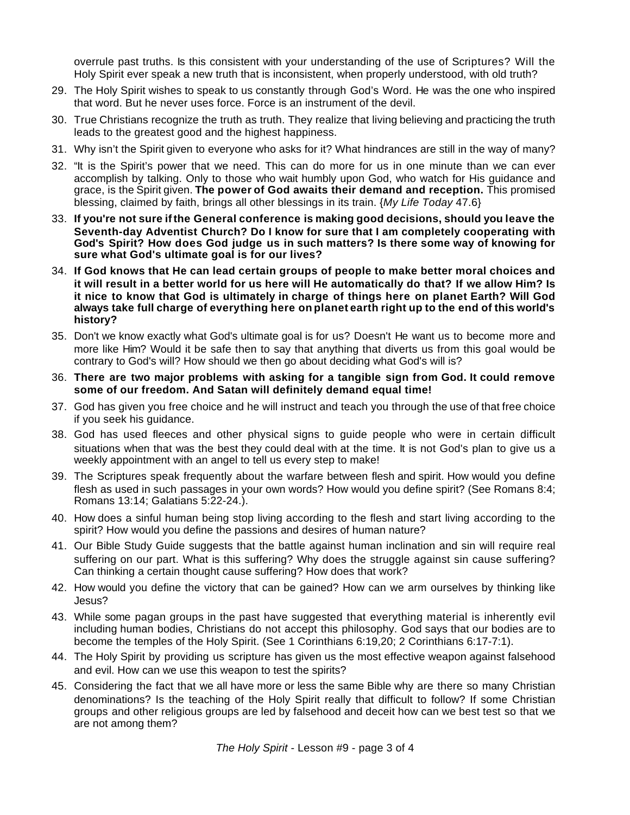overrule past truths. Is this consistent with your understanding of the use of Scriptures? Will the Holy Spirit ever speak a new truth that is inconsistent, when properly understood, with old truth?

- 29. The Holy Spirit wishes to speak to us constantly through God's Word. He was the one who inspired that word. But he never uses force. Force is an instrument of the devil.
- 30. True Christians recognize the truth as truth. They realize that living believing and practicing the truth leads to the greatest good and the highest happiness.
- 31. Why isn't the Spirit given to everyone who asks for it? What hindrances are still in the way of many?
- 32. "It is the Spirit's power that we need. This can do more for us in one minute than we can ever accomplish by talking. Only to those who wait humbly upon God, who watch for His guidance and grace, is the Spirit given. **The power of God awaits their demand and reception.** This promised blessing, claimed by faith, brings all other blessings in its train. {*My Life Today* 47.6}
- 33. **If you're not sure ifthe General conference is making good decisions, should you leave the Seventh-day Adventist Church? Do I know for sure that I am completely cooperating with God's Spirit? How does God judge us in such matters? Is there some way of knowing for sure what God's ultimate goal is for our lives?**
- 34. **If God knows that He can lead certain groups of people to make better moral choices and it will result in a better world for us here will He automatically do that? If we allow Him? Is it nice to know that God is ultimately in charge of things here on planet Earth? Will God always take full charge of everything here on planet earth right up to the end of this world's history?**
- 35. Don't we know exactly what God's ultimate goal is for us? Doesn't He want us to become more and more like Him? Would it be safe then to say that anything that diverts us from this goal would be contrary to God's will? How should we then go about deciding what God's will is?
- 36. **There are two major problems with asking for a tangible sign from God. It could remove some of our freedom. And Satan will definitely demand equal time!**
- 37. God has given you free choice and he will instruct and teach you through the use of that free choice if you seek his guidance.
- 38. God has used fleeces and other physical signs to guide people who were in certain difficult situations when that was the best they could deal with at the time. It is not God's plan to give us a weekly appointment with an angel to tell us every step to make!
- 39. The Scriptures speak frequently about the warfare between flesh and spirit. How would you define flesh as used in such passages in your own words? How would you define spirit? (See Romans 8:4; Romans 13:14; Galatians 5:22-24.).
- 40. How does a sinful human being stop living according to the flesh and start living according to the spirit? How would you define the passions and desires of human nature?
- 41. Our Bible Study Guide suggests that the battle against human inclination and sin will require real suffering on our part. What is this suffering? Why does the struggle against sin cause suffering? Can thinking a certain thought cause suffering? How does that work?
- 42. How would you define the victory that can be gained? How can we arm ourselves by thinking like Jesus?
- 43. While some pagan groups in the past have suggested that everything material is inherently evil including human bodies, Christians do not accept this philosophy. God says that our bodies are to become the temples of the Holy Spirit. (See 1 Corinthians 6:19,20; 2 Corinthians 6:17-7:1).
- 44. The Holy Spirit by providing us scripture has given us the most effective weapon against falsehood and evil. How can we use this weapon to test the spirits?
- 45. Considering the fact that we all have more or less the same Bible why are there so many Christian denominations? Is the teaching of the Holy Spirit really that difficult to follow? If some Christian groups and other religious groups are led by falsehood and deceit how can we best test so that we are not among them?